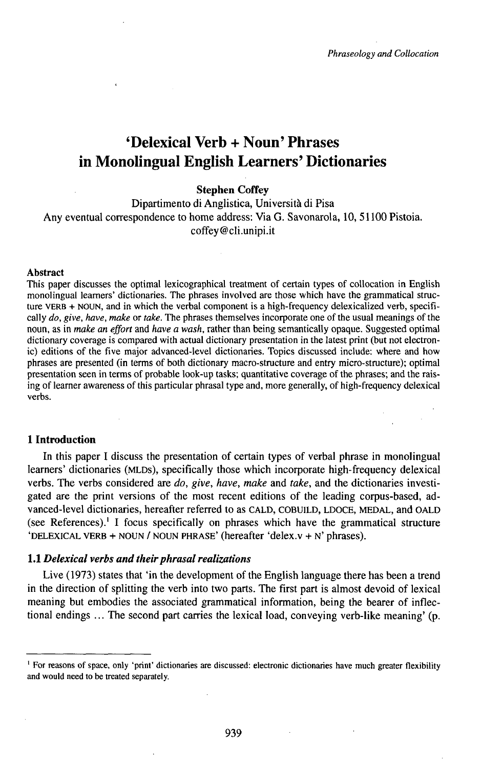# 'Delexical Verb + Noun' Phrases in Monolingual English Learners' Dictionaries

# **Stephen Coffey**

Dipartimento di Anglistica, Università di Pisa Any eventual correspondence to home address: Via G. Savonarola, 10, 51100 Pistoia. coffey@cli.unipi.it

## **Abstract**

This paper discusses the optimal lexicographical treatment of certain types of collocation in English monolingual learners' dictionaries. The phrases involved are those which have the grammatical structure VERB + NOUN, and in which the verbal component is a high-frequency delexicalized verb, specifically *do, give, have, make* or *take.* The phrases themselves incorporate one of the usual meanings of the noun, as in *make an effort* and *have a wash,* rather than being semantically opaque. Suggested optimal dictionary coverage is compared with actual dictionary presentation in the latest print (but not electronic) editions of the five major advanced-level dictionaries. Topics discussed include: where and how phrases are presented (in terms of both dictionary macro-structure and entry micro-structure); optimal presentation seen in terms of probable look-up tasks; quantitative coverage of the phrases; and the raising of learner awareness of this particular phrasal type and, more generally, of high-frequency delexical verbs.

#### **1 Introduction**

In this paper I discuss the presentation of certain types of verbal phrase in monolingual learners' dictionaries (MLDs), specifically those which incorporate high-frequency delexical verbs. The verbs considered are *do, give, have, make* and *take,* and the dictionaries investigated are the print versions of the most recent editions of the leading corpus-based, advanced-level dictionaries, hereafter referred to as CALD, COBUILD, LDOCE, MEDAL, and OALD (see References).<sup>1</sup> I focus specifically on phrases which have the grammatical structure 'DELEXICAL VERB + NOUN / NOUN PHRASE' (hereafter 'delex.v + N' phrases).

## 1.1 *Dehxical verbs and theirphrasalrealizations*

Live (1973) states that 'in the development of the English language there has been a trend in the direction of splitting the verb into two parts. The fírst part is almost devoid of lexical meaning but embodies the associated grammatical information, being the bearer of inflectional endings ... The second part carries the lexical load, conveying verb-like meaning' (p.

<sup>&</sup>lt;sup>1</sup> For reasons of space, only 'print' dictionaries are discussed: electronic dictionaries have much greater flexibility and would need to be treated separately.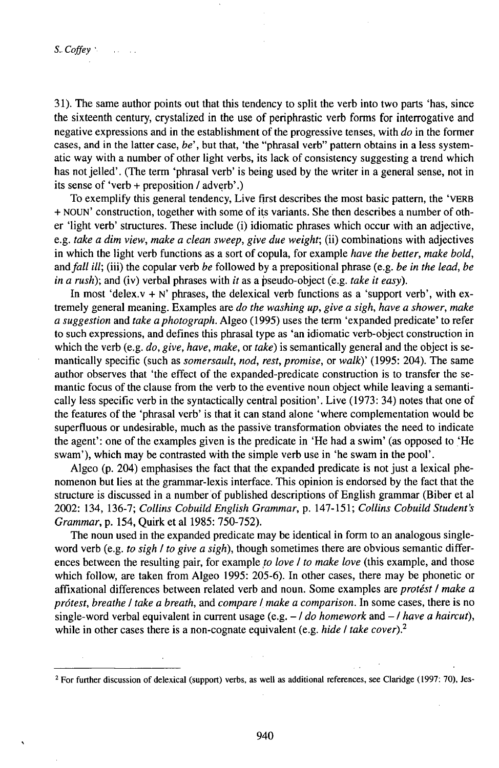31). The same author points out that this tendency to split the verb into two parts 'has, since the sixteenth century, crystalized in the use of periphrastic verb forms for interrogative and negative expressions and in the establishment of the progressive tenses, with *do* in the former cases, and in the latter case, *be*<sup>'</sup>, but that, 'the "phrasal verb" pattern obtains in a less systematic way with a number of other light verbs, its lack of consistency suggesting a trend which has not jelled'. (The term 'phrasal verb' is being used by the writer in a general sense, not in its sense of 'verb + preposition / adverb'.)

To exemplify this general tendency, Live first describes the most basic pattern, the 'VERB + NOUN' construction, together with some of its variants. She then describes a number of other 'light verb' structures. These include (i) idiomatic phrases which occur with an adjective, e.g. *take a dim view, make a clean sweep, give due weight;* (ii) combinations with adjectives in which the light verb functions as a sort of copula, for example *have the better, make bold, andfall ill;* (iii) the copular verb *be* followed by a prepositional phrase (e.g. *be in the lead, be in a rush);* and (iv) verbal phrases with *it* as a pseudo-object (e.g. *take it easy).*

In most 'delex.v + N' phrases, the delexical verb functions as a 'support verb', with extremely general meaning. Examples are *do the washing up, give a sigh, have a shower, make a* suggestion and *take a photograph*. Algeo (1995) uses the term 'expanded predicate' to refer to such expressions, and defines this phrasal type as 'an idiomatic verb-object construction in which the verb (e.g. *do, give, have, make,* or *take)* is semantically general and the object is semantically specific (such as *somersault, nod, rest, promise,* or *walky* (1995: 204). The same author observes that 'the effect of the expanded-predicate construction is to transfer the semantic focus of the clause from the verb to the eventive noun object while leaving a semantically less specific verb in the syntactically central position'. Live (1973: 34) notes that one of the features of the 'phrasal verb' is that it can stand alone 'where complementation would be superfluous or undesirable, much as the passive transformation obviates the need to indicate the agent': one of the examples given is the predicate in 'He had a swim' (as opposed to 'He swam'), which may be contrasted with the simple verb use in 'he swam in the pool'.

Algeo (p. 204) emphasises the fact that the expanded predicate is not just a lexical phenomenon but lies at the grammar-lexis interface. This opinion is endorsed by the fact that the structure is discussed in a number of published descriptions of English grammar (Biber et al 2002: 134, 136-7; *Collins CobuildEnglish Grammar,* p. 147-151; *Collins CobuiMStudent's Grammar,* p. 154, Quirk et al 1985: 750-752).

The noun used in the expanded predicate may be identical in form to an analogous singleword verb (e.g. *to sigh I to give a sigh),* though sometimes there are obvious semantic differences between the resulting pair, for example *to love I to make love* (this example, and those which follow, are taken from Algeo 1995: 205-6). In other cases, there may be phonetic or affixational differences between related verb and noun. Some examples are *protést I make a prótest, breathe I take a breath,* and *compare I make a comparison.* In some cases, there is no single-word verbal equivalent in current usage (e.g. -/ *do homework* and -/ *have <sup>a</sup> haircut),* while in other cases there is a non-cognate equivalent (e.g. *hide I take cover)?*

<sup>2</sup> For further discussion of delexical (support) verbs, as well as additional references, see Claridge (1997: 70), Jes-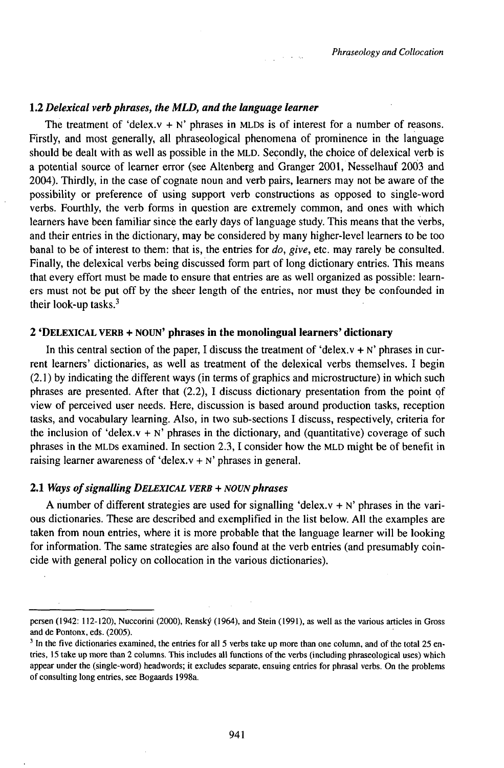# 1.2 *Delexical verb phrases, the MLD, and the kinguage learner*

The treatment of 'delex. $v + N'$  phrases in MLDs is of interest for a number of reasons. Firstly, and most generally, all phraseological phenomena of prominence in the language should be dealt with as well as possible in the MLD. Secondly, the choice of delexical verb is a potential source of learner error (see Altenberg and Granger 2001, Nesselhauf 2003 and 2004). Thirdly, in the case of cognate noun and verb pairs, learners may not be aware of the possibility or preference of using support verb constructions as opposed to single-word verbs. Fourthly, the verb forms in question are extremely common, and ones with which learners have been familiar since the early days of language study. This means that the verbs, and their entries in the dictionary, may be considered by many higher-level learners to be too banal to be of interest to them: that is, the entries for *do, give,* etc. may rarely be consulted. Finally, the delexical verbs being discussed form part of long dictionary entries. This means that every effort must be made to ensure that entries are as well organized as possible: learners must not be put off by the sheer length of the entries, nor must they be confounded in their look-up tasks. $3$ 

 $\frac{1}{2} \left( \frac{1}{2} \right)$  , where  $\frac{1}{2}$ 

# 2 'DELEXICAL VERB + NOUN' **phrases in the monolingual learners' dictionary**

In this central section of the paper, I discuss the treatment of 'delex. $v + N'$  phrases in current learners' dictionaries, as well as treatment of the delexical verbs themselves. I begin (2.1 ) by indicating the different ways (in terms of graphics and microstructure) in which such phrases are presented. After that (2.2), I discuss dictionary presentation from the point of view of perceived user needs. Here, discussion is based around production tasks, reception tasks, and vocabulary learning. Also, in two sub-sections I discuss, respectively, criteria for the inclusion of 'delex.v + N' phrases in the dictionary, and (quantitative) coverage of such phrases in the MLDs examined. In section 2.3, I consider how the MLD might be of benefit in raising learner awareness of 'delex. $v + N'$  phrases in general.

# 2.1 *Ways ofsignalling DELEXlCAL VERB + NOVNphrases*

A number of different strategies are used for signalling 'delex. $v + N'$  phrases in the various dictionaries. These are described and exemplified in the list below. All the examples are taken from noun entries, where it is more probable that the language learner will be looking for information. The same strategies are also found at the verb entries (and presumably coincide with general policy on collocation in the various dictionaries).

persen (1942: 112-120), Nuccorini (2000), Renský (1964), and Stein (1991), as well as the various articles in Gross and de Pontonx, eds. (2005).

<sup>&</sup>lt;sup>3</sup> In the five dictionaries examined, the entries for all 5 verbs take up more than one column, and of the total 25 entries, 15 take up more than 2 columns. This includes all functions of the verbs (including phraseological uses) which appear under the (single-word) headwords; it excludes separate, ensuing entries for phrasal verbs. On the problems of consulting long entries, see Bogaards 1998a.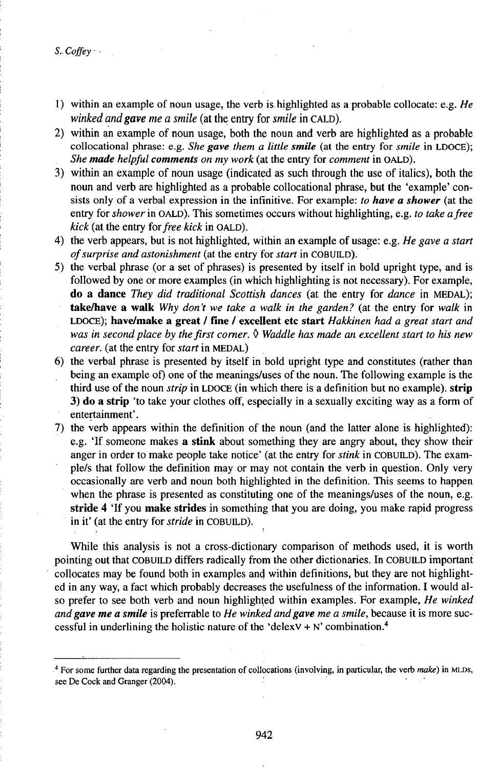*S.. Coffey •*

- 1) within an example of noun usage, the verb is.highlighted as a probable collocate: e.g. *He winked andgave me a smile* (at the entry for *smile* in CALD).
- 2) within an example of noun usage, both the noun and verb are highlighted as a probable collocational phrase: e.g. *She gave them a little smile* (at the entry for *smile* in LDOCE); *She made helpful comments on my work* (at the entry for *comment* in OALD).
- 3) within an example of noun usage (indicated as such through the use of italics), both the noun and verb are highlighted as a probable collocational phrase, but the 'example' consists only of a verbal expression in the infinitive. For example: *to have a shower* (at the entry for *shower* in OALD). This sometimes occurs without highlighting, e.g. *to take afree kick* (at the entry *iorfree kick* in OALD).
- 4) the verb appears, but is not highlighted, within an example of usage: e.g. *He gave a start ofsurprise and astonishment* (at the entry for *start* in COBUŁD).
- 5) the verbal phrase (or a set of phrases) is presented by itself in bold upright type, and is followed by one or more examples (in which highlighting is not necessary). For example, **do a dance** *They did traditional Scottish dances* (at the entry for *dance* in MEDAL); **takeArave a walk** *Why don't we take a walk in the garden?* (at the entry for *walk* in LDOCE); **have/make a great / fine /excellent etc start** *Hakkinen had a great start and was in secondplace by thefirst corner.* • *Waddle has made an excellent start to his new career,* (at the entry for *start* in MEDAL)
- 6) the verbal phrase is presented by itself in bold upright type and constitutes (rather than being an example of) one of the meanings/uses of the noun. The following example is the third use of the noun *strip* in LDOCE (in which there is a definition but no example), **strip 3) do a strip** 'to take your clothes off, especially in a sexually exciting way as a form of entertainment'.
- 7) the verb appears within the definition of the noun (and the latter alone is highlighted): e.g. 'If someone makes **a stink** about something they are angry about, they show their anger in order to make people take notice' (at the entry for *stink* in COBUILD). The example/s that follow the definition may or may not contain the verb in question. Only very occasionally are verb and noun both highlighted in the definition. This seems to happen when the phrase is presented as constituting one of the meanings/uses of the noun, e.g. **stride 4 'If** you **make strides** in something that you are doing, you make rapid progress in it' (at the entry for *stride* in COBUILD).

While this analysis is not a cross-dictionary comparison of methods used, it is worth pointing out that COBUILD differs radically from the other dictionaries. In COBUILD important collocates may be found both in examples and within definitions, but they are not highlighted in any way, a fact which probably decreases the usefulness of the information. I would also prefer to see both verb and noun highlighted within examples. For example, *He winked andgave me a smile* is preferrable to *He winked andgave me a smile,* because it is more successful in underlining the holistic nature of the 'delexy  $+ N'$  combination.<sup>4</sup>

<sup>4</sup> For some further data regarding the presentation of collocations (involving, in particular, the verb *make)* in MLDs, see De Cock and Granger (2004).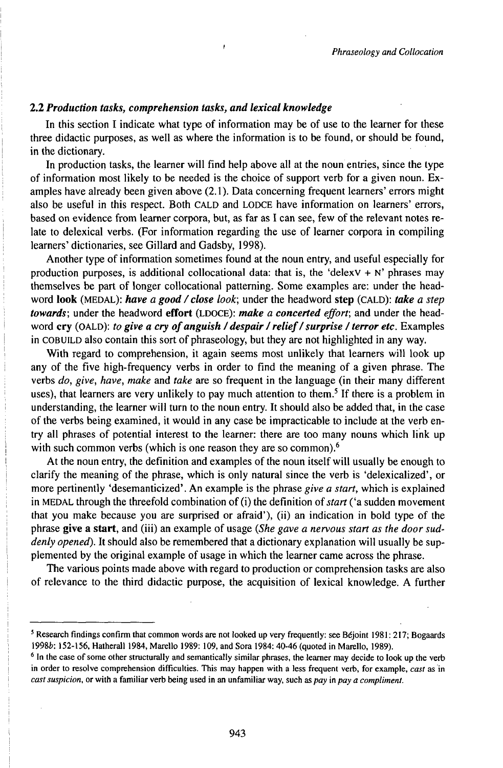# **2.2** *Production tasks, comprehension tasks, and lexical knowledge*

In this section I indicate what type of information may be of use to the learner for these three didactic purposes, as well as where the information is to be found, or should be found, in the dictionary.

In production tasks, the learner will find help above all at the noun entries, since the type of information most likely to be needed is the choice of support verb for a given noun. Examples have already been given above (2.1). Data concerning frequent learners' errors might also be useful in this respect. Both CALD and LODCE have information on learners' errors, based on evidence from learner corpora, but, as far as I can see, few of the relevant notes relate to delexical verbs. (For information regarding the use of learner corpora in compiling learners' dictionaries, see Gillard and Gadsby, 1998).

Another type of information sometimes found at the noun entry, and useful especially for production purposes, is additional collocational data: that is, the 'delex $V + N'$ ' phrases may themselves be part of longer collocational patterning. Some examples are: under the headword **look** (MEDAL): *have a good/close look;* under the headword **step** (CALD): *take a step towards;* under the headword **effort** (LDOCE): *make a concerted effort;* and under the headword **cry** (OALD): *to* **give** a cry of anguish / despair / relief / surprise / terror etc. Examples in COBUILD also contain this sort of phraseology, but they are not highlighted in any way.

With regard to comprehension, it again seems most unlikely that learners will look up any of the five high-frequency verbs in order to find the meaning of a given phrase. The verbs *do, give, have, make* and *take* are so frequent in the language (in their many different uses), that learners are very unlikely to pay much attention to them.<sup>5</sup> If there is a problem in understanding, the learner will turn to the noun entry. It should also be added that, in the case of the verbs being examined, it would in any case be impracticable to include at the verb entry all phrases of potential interest to the learner: there are too many nouns which link up with such common verbs (which is one reason they are so common).<sup>6</sup>

At the noun entry, the definition and examples of the noun itself will usually be enough to clarify the meaning of the phrase, which is only natural since the verb is 'delexicalized', or more pertinently 'desemanticized'. An example is the phrase *give a start,* which is explained in MEDAL through the threefold combination of (i) the definition of *start* ('a sudden movement that you make because you are surprised or afraid'), (ii) an indication in bold type of the phrase **give a start,** and (iii) an example of usage *(She gave a nervous start as the door suddenly opened).* It should also be remembered that a dictionary explanation will usually be supplemented by the original example of usage in which the learner came across the phrase.

The various points made above with regard to production or comprehension tasks are also of relevance to the third didactic purpose, the acquisition of lexical knowledge. A further

<sup>5</sup> Research findings confirm that common words are not looked up very frequently: see Béjoint 1981: 217; Bogaards 1998b: 152-156, Hatherall 1984, Marello 1989: 109, and Sora 1984: 40-46 (quoted in Marello, 1989).

<sup>&</sup>lt;sup>6</sup> In the case of some other structurally and semantically similar phrases, the learner may decide to look up the verb in order to resolve comprehension difficulties. This may happen with a less frequent verb, for example, *cast* as in *castsuspicion,* or with a familiar verb being used in an unfamiliar way, such as *pay* in *pay a compliment.*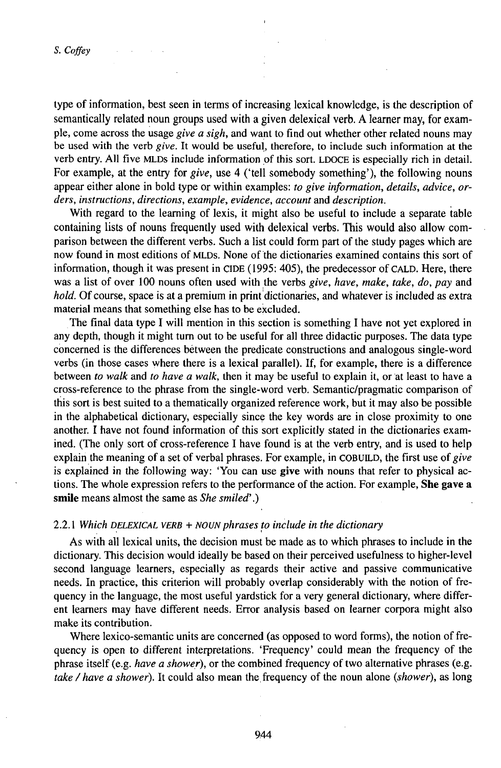type of information, best seen in terms of increasing lexical knowledge, is the description of semantically related noun groups used with a given delexical verb. A learner may, for example, come across the usage *give a sigh,* and want to find out whether other related nouns may be used with the verb *give.* It would be useful, therefore, to include such information at the verb entry. All five MLDs include information pf this sort. LDOCE is especially rich in detail. For example, at the entry for *give,* use 4 ('tell somebody something'), the following nouns appear either alone in bold type or within examples: *to give information, details, advice, orders, instructions, directions, example, evidence, account* and *description.*

With regard to the learning of lexis, it might also be useful to include a separate table containing lists of nouns frequently used with delexical verbs. This would also allow comparison between the different verbs. Such a list could form part of the study pages which are now found in most editions of MLDs. None of the dictionaries examined contains this sort of information, though it was present in CIDE (1995: 405), the predecessor of CALD. Here, there was a list of over 100 nouns often used with the verbs *give, have, make, take, do, pay* and *hold.* Of course, space is at a premium in print dictionaries, and whatever is included as extra material means that something else has to be excluded.

The final data type I will mention in this section is something I have not yet explored in any depth, though it might turn out to be useful for all three didactic purposes. The data type concerned is the differences bétween the predicate constructions and analogous single-word verbs (in those cases where there is a lexical parallel). If, for example, there is a difference between *to walk* and *to have a walk,* then it may be useful to explain it, or at least to have a cross-reference to the phrase from the single-word verb. Semantic/pragmatic comparison of this sort is best suited to a thematically organized reference work, but it may also be possible in the alphabetical dictionary, especially since the key words are in close proximity to one another. I have not found information of this sort explicitly stated in the dictionaries examined. (The only sort of cross-reference I have found is at the verb entry, and is used to help explain the meaning of a set of verbal phrases. For example, in COBUILD, the first use of *give* is explained in the following way: 'You can use **give** with nouns that refer to physical actions. The whole expression refers to the performance of the action. For example, **She gave** a smile means almost the same as She smiled'.)

# 2.2.1 *Which DELEXICAL VERB + NOUNphrases to include in the dictionary*

As with all lexical units, the decision must be made as to which phrases to include in the dictionary. This decision would ideally be based on their perceived usefulness to higher-level second language learners, especially as regards their active and passive communicative needs. In practice, this criterion will probably overlap considerably with the notion of frequency in the language, the most useful yardstick for a very general dictionary, where different learners may have different needs. Error analysis based on learner corpora might also make its contribution.

Where lexico-semantic units are concerned (as opposed to word forms), the notion of frequency is open to different interpretations. 'Frequency' could mean the frequency of the phrase itself (e.g. *have a shower),* or the combined frequency of two alternative phrases (e.g. *take / have a shower*). It could also mean the frequency of the noun alone *(shower)*, as long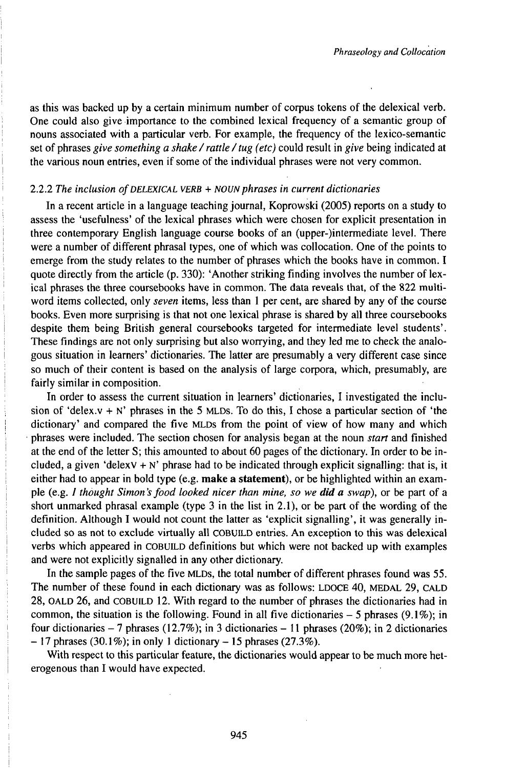as this was backed up by a certain minimum number of corpus tokens of the delexical verb. One could also give importance to the combined lexical frequency of a semantic group of nouns associated with a particular verb. For example, the frequency of the lexico-semantic set of phrases *give something <sup>a</sup> shake /rattle /tug (etc)* could result in *give* being indicated at the various noun entries, even if some of the individual phrases were not very common.

#### 2.2.2 *The inclusion ofDELEXICAL VERB + NOUNphrases in current dictionaries*

In a recent article in a language teaching journal, Koprowski (2005) reports on a study to assess the 'usefulness' of the lexical phrases which were chosen for explicit presentation in three contemporary English language course books of an (upper-)intermediate level. There were a number of different phrasal types, one of which was collocation. One of the points to emerge from the study relates to the number of phrases which the books have in common. I quote directly from the article (p. 330): 'Another striking finding involves the number of lexical phrases the three coursebooks have in common. The data reveals that, of the 822 multiword items collected, only *seven* items, less than <sup>1</sup> per cent, are shared by any of the course books. Even more surprising is that not one lexical phrase is shared by all three coursebooks despite them being British general coursebooks targeted for intermediate level students'. These findings are not only surprising but also worrying, and they led me to check the analogous situation in learners' dictionaries. The latter are presumably a very different case since so much of their content is based on the analysis of large corpora, which, presumably, are fairly similar in composition.

In order to assess the current situation in learners' dictionaries, I investigated the inclusion of 'delex.v + N' phrases in the 5 MLDs. To do this, I chose a particular section of 'the dictionary' and compared the five MLDs from the point of view of how many and which phrases were included. The section chosen for analysis began at the noun *start* and finished at the end of the letter S; this amounted to about 60 pages of the dictionary. In order to be included, a given 'delexv + N' phrase had to be indicated through explicit signalling: that is, it either had to appear in bold type (e.g. **make a statement),** or be highlighted within an example (e.g. / *thought Simon 's food looked nicer than mine, so we did a swap),* or be part of a short unmarked phrasal example (type 3 in the list in 2.1), or be part of the wording of the definition. Although I would not count the latter as 'explicit signalling', it was generally included so as not to exclude virtually all COBUŁD entries. An exception to this was delexical verbs which appeared in COBUILD definitions but which were not backed up with examples and were not explicitly signalled in any other dictionary.

In the sample pages of the five MLDs, the total number of different phrases found was 55. The number of these found in each dictionary was as follows: LDOCE 40, MEDAL 29, CALD 28, OALD 26, and COBUiLD 12. With regard to the number of phrases the dictionaries had in common, the situation is the following. Found in all five dictionaries  $- 5$  phrases (9.1%); in four dictionaries - 7 phrases (12.7%); in 3 dictionaries - 11 phrases (20%); in 2 dictionaries  $-17$  phrases (30.1%); in only 1 dictionary  $-15$  phrases (27.3%).

With respect to this particular feature, the dictionaries would appear to be much more heterogenous than I would have expected.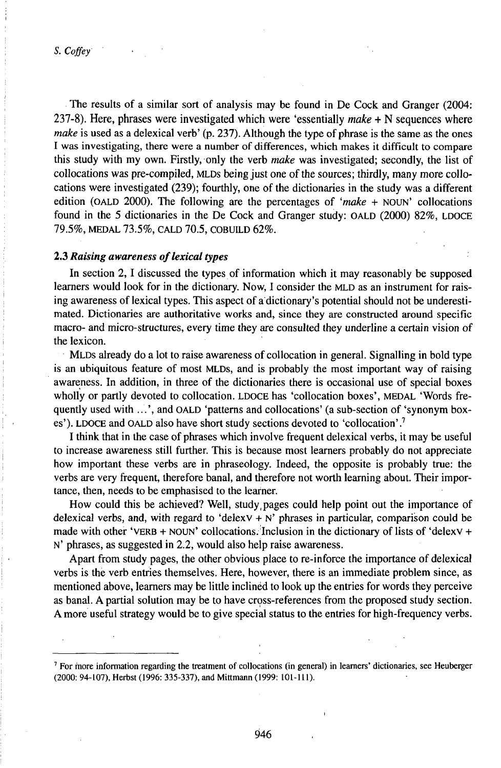The results of a similar sort of analysis may be found in De Cock and Granger (2004: 237-8). Here, phrases were investigated which were 'essentially *make* + N sequences where *make* is used as a delexical verb' (p. 237). Although the type of phrase is the same as the ones I was investigating, there were a number of differences, which makes it difficult to compare this study with my own. Firstly, only the verb *make* was investigated; secondly, the list of collocations was pre-compiled, MLDs being just one of the sources; thirdly, many more collocations were investigated (239); fourthly, one of the dictionaries in the study was a different edition (OALD 2000). The following are the percentages of *'make +* NOUN' collocations found in the 5 dictionaries in the De Cock and Granger study: OALD (2000) 82%, LDOCE 79.5%, MEDAL 73.5%, CALD 70.5, COBUlLD 62%.

#### 2.3 *Raising awareness oflexical types*

In section 2, I discussed the types of information which it may reasonably be supposed learners would look for in the dictionary. Now, I consider the MLD as an instrument for raising awareness of lexical types. This aspect of a dictionary's potential should not be underestimated. Dictionaries are authoritative works and, since they are constructed around specific macro- and micro-structures, every time they are consulted they underline a certain vision of the lexicon.

MLDs already do a lot to raise awareness of collocation in general. Signalling in bold type is an ubiquitous feature of most MLDs, and is probably the most important way of raising awareness. In addition, in three of the dictionaries there is occasional use of special boxes wholly or partly devoted to collocation. LDOCE has 'collocation boxes', MEDAL 'Words frequently used with ...', and OALD 'patterns and collocations' (a sub-section of 'synonym boxes'). LDOCE and OALD also have short study sections devoted to 'collocation'.<sup>7</sup>

I think that in the case of phrases which involve frequent delexical verbs, it may be useful to increase awareness still further. This is because most learners probably do not appreciate how important these verbs are in phraseology. Indeed, the opposite is probably true: the verbs are very frequent, therefore banal, and therefore not worth learning about. Their importance, then, needs to be emphasised to the learner.

How could this be achieved? Well, study,pages could help point out the importance of delexical verbs, and, with regard to 'delex $v + N'$  phrases in particular, comparison could be made with other 'VERB + NOUN' collocations. Inclusion in the dictionary of lists of 'delexV + N' phrases, as suggested in 2.2, would also help raise awareness.

Apart from study pages, the other obvious place to re-inforce the importance of delexical verbs is the verb entries themselves. Here, however, there is an immediate problem since, as mentioned above, learners may be little inclined to look up the entries for words they perceive as banal. A partial solution may be to have cross-references from the proposed study section. A more useful strategy would be to give special status to the entries for high-frequency verbs.

<sup>7</sup> For more information regarding the treatment of collocations (in general) in learners' dictionaries, see Heuberger (2000: 94-107), Herbst (1996: 335-337), and Mittmann (1999: 101-111).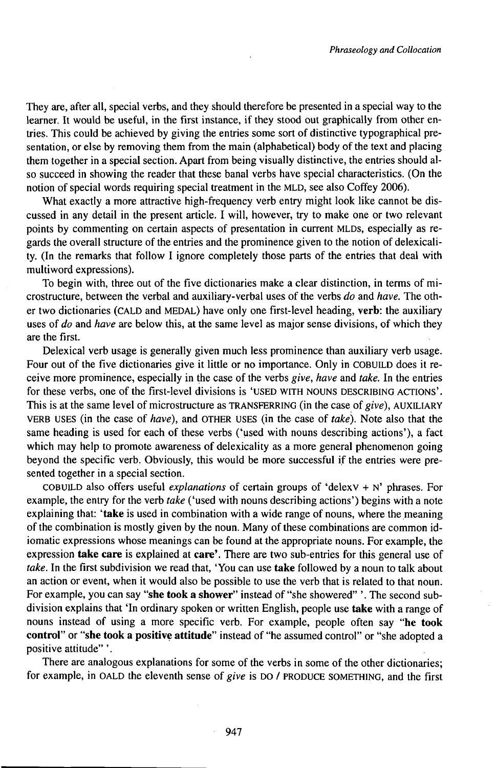They are, after all, special verbs, and they should therefore be presented in a special way to the learner. It would be useful, in the first instance, if they stood out graphically from other entries. This could be achieved by giving the entries some sort of distinctive typographical presentation, or else by removing them from the main (alphabetical) body of the text and placing them together in a special section. Apart from being visually distinctive, the entries should also succeed in showing the reader that these banal verbs have special characteristics. (On the notion of special words requiring special treatment in the MLD, see also Coffey 2006).

What exactly a more attractive high-frequency verb entry might look like cannot be discussed in any detail in the present article. I will, however, try to make one or two relevant points by commenting on certain aspects of presentation in current MLDs, especially as regards the overall structure of the entries and the prominence given to the notion of delexicality. (In the remarks that follow I ignore completely those parts of the entries that deal with multiword expressions).

To begin with, three out of the five dictionaries make a clear distinction, in terms of microstructure, between the verbal and auxiliary-verbal uses of the verbs *do* and *have.* The other two dictionaries (CALD and MEDAL) have only one first-level heading, **verb:** the auxiliary uses of *do* and *have* are below this, at the same level as major sense divisions, of which they are the first.

Delexical verb usage is generally given much less prominence than auxiliary verb usage. Four out of the five dictionaries give it little or no importance. Only in COBUILD does it receive more prominence, especially in the case of the verbs *give, have* and *take.* In the entries for these verbs, one of the first-level divisions is 'USED wiTH NOUNS DESCRIBING ACTIONS'. This is at the same level of microstructure as TRANSFERRING (in the case of *give),* AUXLIARY VERB USES (in the case of *have),* and OTHER USES (in the case of *take).* Note also that the same heading is used for each of these verbs ('used with nouns describing actions'), a fact which may help to promote awareness of delexicality as a more general phenomenon going beyond the specific verb. Obviously, this would be more successful if the entries were presented together in a special section.

COBUILD also offers useful *explanations* of certain groups of 'delexv + N' phrases. For example, the entry for the verb *take* ('used with nouns describing actions') begins with a note explaining that: 'take is used in combination with a wide range of nouns, where the meaning of the combination is mostly given by the noun. Many of these combinations are common idiomatic expressions whose meanings can be found at the appropriate nouns. For example, the expression **take care** is explained at **care'.** There are two sub-entries for this general use of *take.* In the first subdivision we read that, 'You can use **take** followed by a noun to talk about an action or event, when it would also be possible to use the verb that is related to that noun. For example, you can say **"she took a shower"** instead of "she showered" '. The second subdivision explains that Tn ordinary spoken or written English, people use **take** with a range of nouns instead of using a more specific verb. For example, people often say **"he took control"** or **"she took a positive attitude"** instead of "he assumed control" or "she adopted a positive attitude"'.

There are analogous explanations for some of the verbs in some of the other dictionaries; for example, in OALD the eleventh sense of *give* is DO / PRODUCE SOMETHING, and the first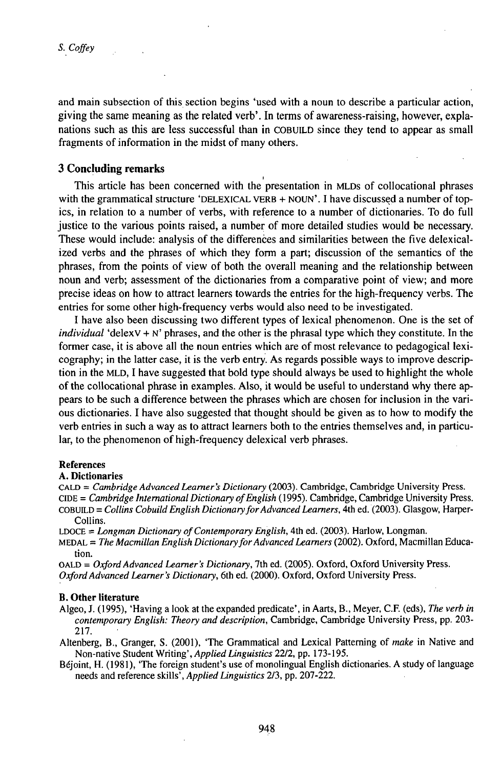and main subsection of this section begins 'used with a noun to describe a particular action, giving the same meaning as the related verb'. In terms of awareness-raising, however, explanations such as this are less successful than in COBUILD since they tend to appear as small fragments of information in the midst of many others.

## **3 Concluding remarks**

This article has been concerned with the presentation in MLDs of collocational phrases with the grammatical structure 'DELEXICAL VERB + NOUN'. I have discussed a number of topics, in relation to a number of verbs, with reference to a number of dictionaries. To do full justice to the various points raised, a number of more detailed studies would be necessary. These would include: analysis of the differences and similarities between the five delexicalized verbs and the phrases of which they form a part; discussion of the semantics of the phrases, from the points of view of both the overall meaning and the relationship between noun and verb; assessment of the dictionaries from a comparative point of view; and more precise ideas on how to attract learners towards the entries for the high-frequency verbs. The entries for some other high-frequency verbs would also need to be investigated.

I have also been discussing two different types of lexical phenomenon. One is the set of *individual* 'delex $V + N'$  phrases, and the other is the phrasal type which they constitute. In the former case, it is above all the noun entries which are of most relevance to pedagogical lexicography; in the latter case, it is the verb entry. As regards possible ways to improve description in the MLD, I have suggested that bold type should always be used to highlight the whole of the collocational phrase in examples. Also, it would be useful to understand why there appears to be such a difference between the phrases which are chosen for inclusion in the various dictionaries. I have also suggested that thought should be given as to how to modify the verb entries in such a way as to attract learners both to the entries themselves and, in particular, to the phenomenon of high-frequency delexical verb phrases.

#### References

#### A. Dictionaries

CALD = *Cambridge Advanced Learner's Dictionary* (2003). Cambridge, Cambridge University Press. CiDE = *Cambridge ¡nternationalDictionary ofEnglish* (1995). Cambridge, Cambridge University Press. COBUŁD <sup>=</sup> *Collins Cobuild English DictionaryforAdvanced Learners,* 4th ed. (2003). Glasgow, Harper-Collins.

LDOCE = *Longman Dictionary ofContemporary English,* 4th ed. (2003). Harlow, Longman.

MEDAL = *The Macmillan English DictionaryforAdvancedLearners* (2002). Oxford, Macmillan Education.

OALD = Oxford Advanced Learner's Dictionary, 7th ed. (2005). Oxford, Oxford University Press. *OxfordAdvancedLearner's Dictionary,* 6th ed. (2000). Oxford, Oxford University Press.

#### **B. Other literature**

- Algeo, J. (1995), 'Having a look at the expanded predicate', in Aarts, B., Meyer, C.F. (eds), *The verb in contemporary English: Theory and description,* Cambridge, Cambridge University Press, pp. 203- 217.
- Altenberg, B., Granger, S. (2001), 'The Grammatical and Lexical Patterning of *make* in Native and Non-native Student *Wnting',Applied Linguistics* 22/2, pp. 173-195.
- Béjoint, H. (1981), 'The foreign student's use of monolingual English dictionaries. A study of language needs and reference skills', *Applied Linguistics* 2/3, pp. 207-222.